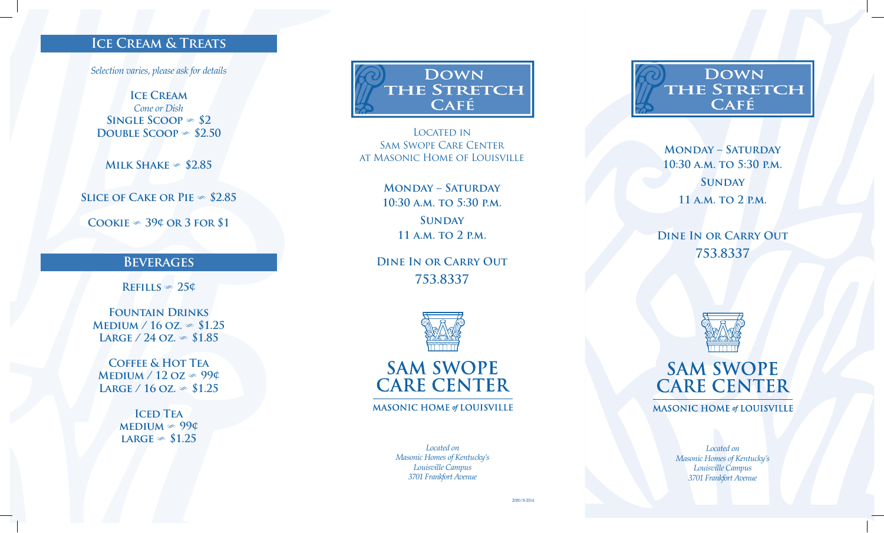### **Ice Cream & Treats**

*Selection varies, please ask for details*

**ICE CREAM** *Cone or Dish* **SINGLE SCOOP**  $\gg$  \$2 **DOUBLE SCOOP**  $\infty$  \$2.50

**MILK SHAKE**  $\infty$  \$2.85

**SLICE OF CAKE OR PIE**  $\infty$  \$2.85

**COOKIE**  $\infty$  39¢ OR 3 FOR \$1

#### **Beverages**

 $REFILLS \approx 25¢$ 

**Fountain Drinks MEDIUM / 16 OZ.**  $\infty$  **\$1.25**  $LARGE / 24$  OZ.  $\infty$  \$1.85

**Coffee & Hot Tea**  $M$ **EDIUM** / 12 **OZ**  $\gg$  99¢ **LARGE / 16 OZ.**  $\infty$  **\$1.25** 

> **ICED TEA**  $MEDIUM \gg 99¢$ **LARGE**  $\in$  \$1.25

**DOWN** THE STRETCH **CAFÉ** 

LOCATED IN Sam Swope Care Center at Masonic Home of Louisville

> **Monday – Saturday 10:30 a.m. to 5:30 p.m. Sunday 11 a.m. to 2 p.m.**

**Dine In or Carry Out 753.8337**



**SAM SWOPE CARE CENTER** 

**MASONIC HOME of LOUISVILLE** 

*Located on Masonic Homes of Kentucky's Louisville Campus 3701 Frankfort Avenue*

**DOWN THE STRETCH** CAFÉ

**Monday – Saturday 10:30 a.m. to 5:30 p.m. Sunday 11 a.m. to 2 p.m.**

**Dine In or Carry Out 753.8337**



**SAM SWOPE CARE CENTER** 

**MASONIC HOME of LOUISVILLE** 

*Located on Masonic Homes of Kentucky's Louisville Campus 3701 Frankfort Avenue*

2000/8-2014